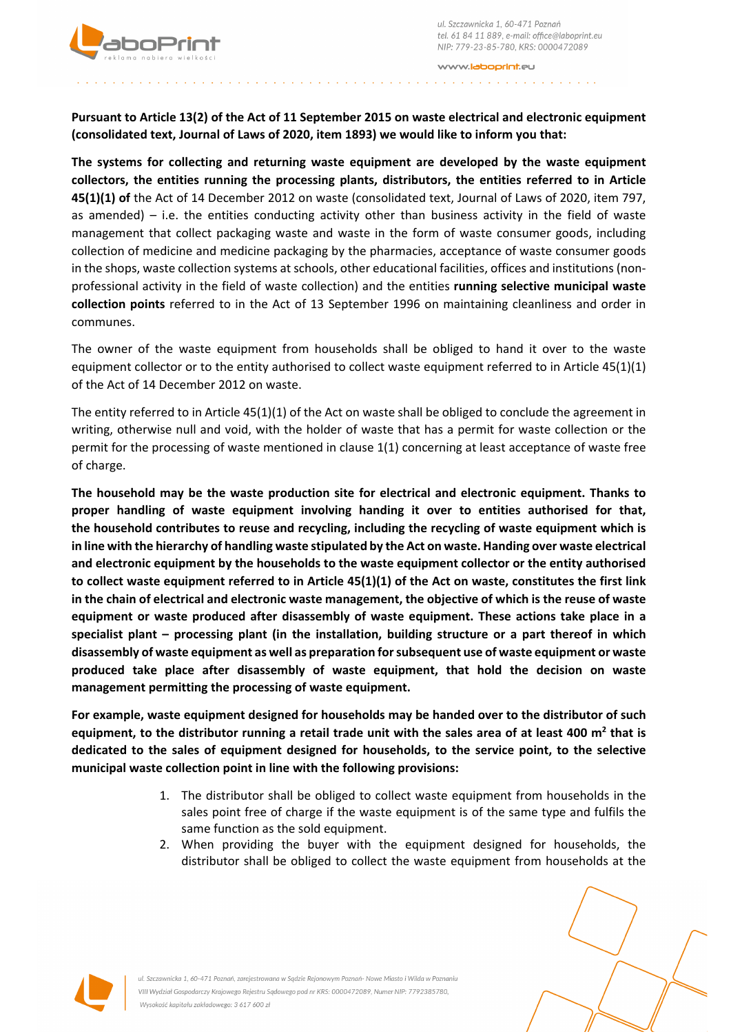



www.**laboorint.**eu

**Pursuant to Article 13(2) of the Act of 11 September 2015 on waste electrical and electronic equipment (consolidated text, Journal of Laws of 2020, item 1893) we would like to inform you that:**

**The systems for collecting and returning waste equipment are developed by the waste equipment collectors, the entities running the processing plants, distributors, the entities referred to in Article 45(1)(1) of** the Act of 14 December 2012 on waste (consolidated text, Journal of Laws of 2020, item 797, as amended) – i.e. the entities conducting activity other than business activity in the field of waste management that collect packaging waste and waste in the form of waste consumer goods, including collection of medicine and medicine packaging by the pharmacies, acceptance of waste consumer goods in the shops, waste collection systems at schools, other educational facilities, offices and institutions (nonprofessional activity in the field of waste collection) and the entities **running selective municipal waste collection points** referred to in the Act of 13 September 1996 on maintaining cleanliness and order in communes.

The owner of the waste equipment from households shall be obliged to hand it over to the waste equipment collector or to the entity authorised to collect waste equipment referred to in Article 45(1)(1) of the Act of 14 December 2012 on waste.

The entity referred to in Article 45(1)(1) of the Act on waste shall be obliged to conclude the agreement in writing, otherwise null and void, with the holder of waste that has a permit for waste collection or the permit for the processing of waste mentioned in clause 1(1) concerning at least acceptance of waste free of charge.

**The household may be the waste production site for electrical and electronic equipment. Thanks to proper handling of waste equipment involving handing it over to entities authorised for that, the household contributes to reuse and recycling, including the recycling of waste equipment which is in line with the hierarchy of handling waste stipulated by the Act on waste. Handing over waste electrical and electronic equipment by the households to the waste equipment collector or the entity authorised to collect waste equipment referred to in Article 45(1)(1) of the Act on waste, constitutes the first link in the chain of electrical and electronic waste management, the objective of which is the reuse of waste equipment or waste produced after disassembly of waste equipment. These actions take place in a specialist plant – processing plant (in the installation, building structure or a part thereof in which disassembly of waste equipment as well as preparation for subsequent use of waste equipment or waste produced take place after disassembly of waste equipment, that hold the decision on waste management permitting the processing of waste equipment.**

**For example, waste equipment designed for households may be handed over to the distributor of such equipment, to the distributor running a retail trade unit with the sales area of at least 400 m<sup>2</sup> that is dedicated to the sales of equipment designed for households, to the service point, to the selective municipal waste collection point in line with the following provisions:** 

- 1. The distributor shall be obliged to collect waste equipment from households in the sales point free of charge if the waste equipment is of the same type and fulfils the same function as the sold equipment.
- 2. When providing the buyer with the equipment designed for households, the distributor shall be obliged to collect the waste equipment from households at the





ul. Szczawnicka 1, 60-471 Poznań, zarejestrowana w Sadzie Rejonowym Poznań- Nowe Miasto i Wilda w Poznaniu VIII Wydział Gospodarczy Krajowego Rejestru Sądowego pod nr KRS: 0000472089, Numer NIP: 7792385780, Wysokość kapitału zakładowego: 3 617 600 zł